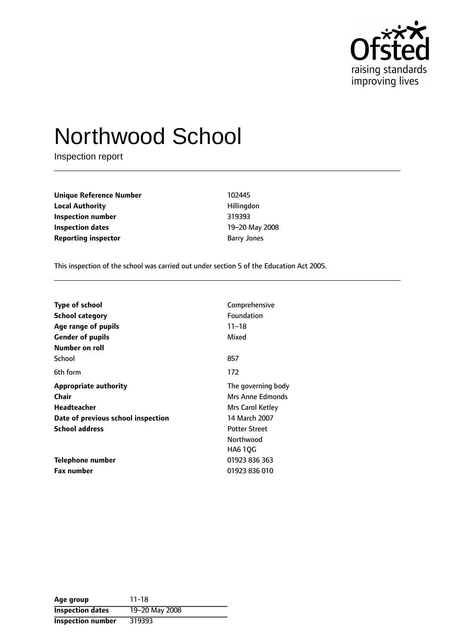

# Northwood School

Inspection report

**Unique Reference Number** 102445 **Local Authority Hillingdon Inspection number** 319393 **Inspection dates** 19-20 May 2008 **Reporting inspector Barry Jones** Barry Jones

This inspection of the school was carried out under section 5 of the Education Act 2005.

| <b>Type of school</b><br>School category<br>Age range of pupils<br><b>Gender of pupils</b> | Comprehensive<br>Foundation<br>$11 - 18$<br>Mixed |
|--------------------------------------------------------------------------------------------|---------------------------------------------------|
| Number on roll                                                                             |                                                   |
| School                                                                                     | 857                                               |
| 6th form                                                                                   | 172                                               |
| <b>Appropriate authority</b>                                                               | The governing body                                |
| Chair                                                                                      | Mrs Anne Edmonds                                  |
| <b>Headteacher</b>                                                                         | Mrs Carol Ketley                                  |
| Date of previous school inspection                                                         | 14 March 2007                                     |
| <b>School address</b>                                                                      | <b>Potter Street</b>                              |
|                                                                                            | Northwood                                         |
|                                                                                            | <b>HA6 10G</b>                                    |
| Telephone number                                                                           | 01923 836 363                                     |
| <b>Fax number</b>                                                                          | 01923 836 010                                     |

| Age group                | 11-18          |
|--------------------------|----------------|
| <b>Inspection dates</b>  | 19-20 May 2008 |
| <b>Inspection number</b> | 319393         |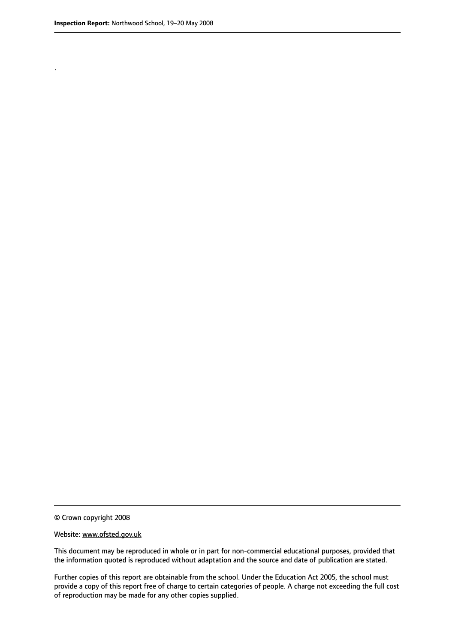.

© Crown copyright 2008

#### Website: www.ofsted.gov.uk

This document may be reproduced in whole or in part for non-commercial educational purposes, provided that the information quoted is reproduced without adaptation and the source and date of publication are stated.

Further copies of this report are obtainable from the school. Under the Education Act 2005, the school must provide a copy of this report free of charge to certain categories of people. A charge not exceeding the full cost of reproduction may be made for any other copies supplied.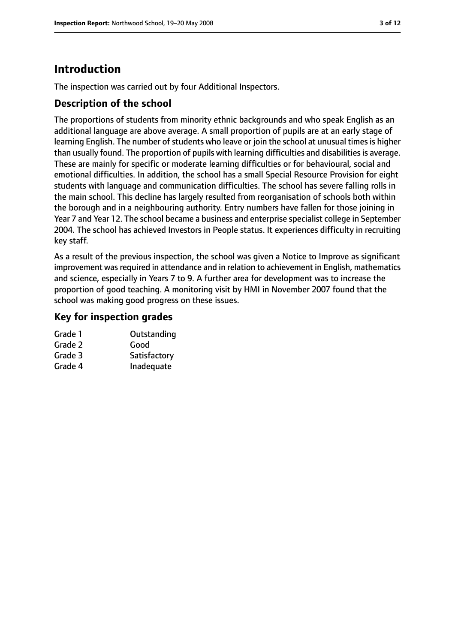# **Introduction**

The inspection was carried out by four Additional Inspectors.

### **Description of the school**

The proportions of students from minority ethnic backgrounds and who speak English as an additional language are above average. A small proportion of pupils are at an early stage of learning English. The number of students who leave or join the school at unusual times is higher than usually found. The proportion of pupils with learning difficulties and disabilities is average. These are mainly for specific or moderate learning difficulties or for behavioural, social and emotional difficulties. In addition, the school has a small Special Resource Provision for eight students with language and communication difficulties. The school has severe falling rolls in the main school. This decline has largely resulted from reorganisation of schools both within the borough and in a neighbouring authority. Entry numbers have fallen for those joining in Year 7 and Year 12. The school became a business and enterprise specialist college in September 2004. The school has achieved Investors in People status. It experiences difficulty in recruiting key staff.

As a result of the previous inspection, the school was given a Notice to Improve as significant improvement was required in attendance and in relation to achievement in English, mathematics and science, especially in Years 7 to 9. A further area for development was to increase the proportion of good teaching. A monitoring visit by HMI in November 2007 found that the school was making good progress on these issues.

### **Key for inspection grades**

| Grade 1 | Outstanding  |
|---------|--------------|
| Grade 2 | Good         |
| Grade 3 | Satisfactory |
| Grade 4 | Inadequate   |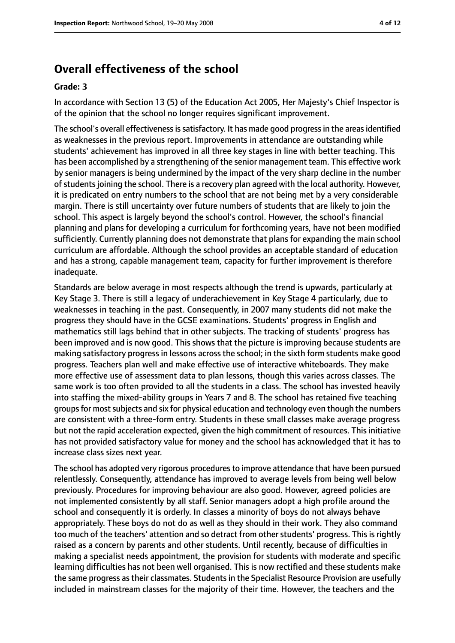# **Overall effectiveness of the school**

#### **Grade: 3**

In accordance with Section 13 (5) of the Education Act 2005, Her Majesty's Chief Inspector is of the opinion that the school no longer requires significant improvement.

The school's overall effectiveness is satisfactory. It has made good progress in the areas identified as weaknesses in the previous report. Improvements in attendance are outstanding while students' achievement has improved in all three key stages in line with better teaching. This has been accomplished by a strengthening of the senior management team. This effective work by senior managers is being undermined by the impact of the very sharp decline in the number of students joining the school. There is a recovery plan agreed with the local authority. However, it is predicated on entry numbers to the school that are not being met by a very considerable margin. There is still uncertainty over future numbers of students that are likely to join the school. This aspect is largely beyond the school's control. However, the school's financial planning and plans for developing a curriculum for forthcoming years, have not been modified sufficiently. Currently planning does not demonstrate that plans for expanding the main school curriculum are affordable. Although the school provides an acceptable standard of education and has a strong, capable management team, capacity for further improvement is therefore inadequate.

Standards are below average in most respects although the trend is upwards, particularly at Key Stage 3. There is still a legacy of underachievement in Key Stage 4 particularly, due to weaknesses in teaching in the past. Consequently, in 2007 many students did not make the progress they should have in the GCSE examinations. Students' progress in English and mathematics still lags behind that in other subjects. The tracking of students' progress has been improved and is now good. This shows that the picture is improving because students are making satisfactory progress in lessons across the school; in the sixth form students make good progress. Teachers plan well and make effective use of interactive whiteboards. They make more effective use of assessment data to plan lessons, though this varies across classes. The same work is too often provided to all the students in a class. The school has invested heavily into staffing the mixed-ability groups in Years 7 and 8. The school has retained five teaching groups for most subjects and six for physical education and technology even though the numbers are consistent with a three-form entry. Students in these small classes make average progress but not the rapid acceleration expected, given the high commitment of resources. This initiative has not provided satisfactory value for money and the school has acknowledged that it has to increase class sizes next year.

The school has adopted very rigorous procedures to improve attendance that have been pursued relentlessly. Consequently, attendance has improved to average levels from being well below previously. Procedures for improving behaviour are also good. However, agreed policies are not implemented consistently by all staff. Senior managers adopt a high profile around the school and consequently it is orderly. In classes a minority of boys do not always behave appropriately. These boys do not do as well as they should in their work. They also command too much of the teachers' attention and so detract from other students' progress. This is rightly raised as a concern by parents and other students. Until recently, because of difficulties in making a specialist needs appointment, the provision for students with moderate and specific learning difficulties has not been well organised. This is now rectified and these students make the same progress as their classmates. Students in the Specialist Resource Provision are usefully included in mainstream classes for the majority of their time. However, the teachers and the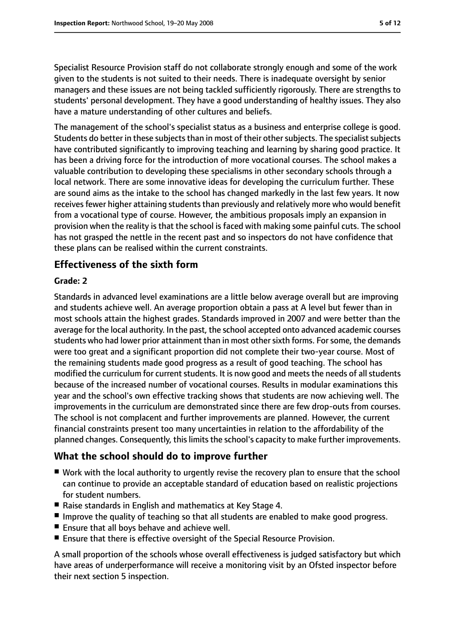Specialist Resource Provision staff do not collaborate strongly enough and some of the work given to the students is not suited to their needs. There is inadequate oversight by senior managers and these issues are not being tackled sufficiently rigorously. There are strengths to students' personal development. They have a good understanding of healthy issues. They also have a mature understanding of other cultures and beliefs.

The management of the school's specialist status as a business and enterprise college is good. Students do better in these subjects than in most of their other subjects. The specialist subjects have contributed significantly to improving teaching and learning by sharing good practice. It has been a driving force for the introduction of more vocational courses. The school makes a valuable contribution to developing these specialisms in other secondary schools through a local network. There are some innovative ideas for developing the curriculum further. These are sound aims as the intake to the school has changed markedly in the last few years. It now receives fewer higher attaining students than previously and relatively more who would benefit from a vocational type of course. However, the ambitious proposals imply an expansion in provision when the reality is that the school is faced with making some painful cuts. The school has not grasped the nettle in the recent past and so inspectors do not have confidence that these plans can be realised within the current constraints.

### **Effectiveness of the sixth form**

#### **Grade: 2**

Standards in advanced level examinations are a little below average overall but are improving and students achieve well. An average proportion obtain a pass at A level but fewer than in most schools attain the highest grades. Standards improved in 2007 and were better than the average for the local authority. In the past, the school accepted onto advanced academic courses students who had lower prior attainment than in most other sixth forms. For some, the demands were too great and a significant proportion did not complete their two-year course. Most of the remaining students made good progress as a result of good teaching. The school has modified the curriculum for current students. It is now good and meets the needs of all students because of the increased number of vocational courses. Results in modular examinations this year and the school's own effective tracking shows that students are now achieving well. The improvements in the curriculum are demonstrated since there are few drop-outs from courses. The school is not complacent and further improvements are planned. However, the current financial constraints present too many uncertainties in relation to the affordability of the planned changes. Consequently, this limits the school's capacity to make further improvements.

### **What the school should do to improve further**

- Work with the local authority to urgently revise the recovery plan to ensure that the school can continue to provide an acceptable standard of education based on realistic projections for student numbers.
- Raise standards in English and mathematics at Key Stage 4.
- Improve the quality of teaching so that all students are enabled to make good progress.
- Ensure that all boys behave and achieve well.
- Ensure that there is effective oversight of the Special Resource Provision.

A small proportion of the schools whose overall effectiveness is judged satisfactory but which have areas of underperformance will receive a monitoring visit by an Ofsted inspector before their next section 5 inspection.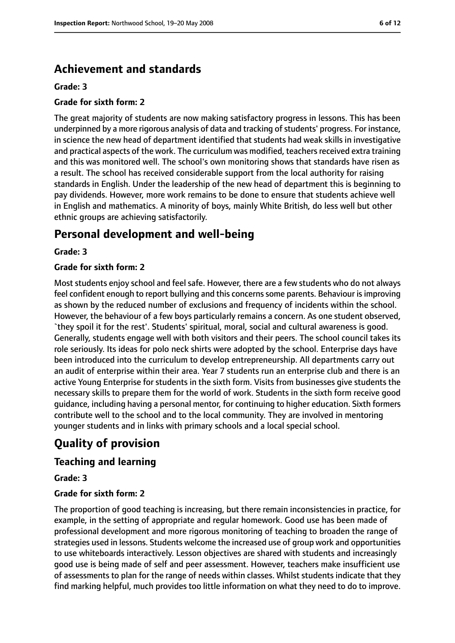# **Achievement and standards**

#### **Grade: 3**

#### **Grade for sixth form: 2**

The great majority of students are now making satisfactory progress in lessons. This has been underpinned by a more rigorous analysis of data and tracking of students' progress. For instance, in science the new head of department identified that students had weak skills in investigative and practical aspects of the work. The curriculum was modified, teachers received extra training and this was monitored well. The school's own monitoring shows that standards have risen as a result. The school has received considerable support from the local authority for raising standards in English. Under the leadership of the new head of department this is beginning to pay dividends. However, more work remains to be done to ensure that students achieve well in English and mathematics. A minority of boys, mainly White British, do less well but other ethnic groups are achieving satisfactorily.

# **Personal development and well-being**

#### **Grade: 3**

#### **Grade for sixth form: 2**

Most students enjoy school and feel safe. However, there are a few students who do not always feel confident enough to report bullying and this concernssome parents. Behaviour isimproving as shown by the reduced number of exclusions and frequency of incidents within the school. However, the behaviour of a few boys particularly remains a concern. As one student observed, `they spoil it for the rest'. Students' spiritual, moral, social and cultural awareness is good. Generally, students engage well with both visitors and their peers. The school council takes its role seriously. Its ideas for polo neck shirts were adopted by the school. Enterprise days have been introduced into the curriculum to develop entrepreneurship. All departments carry out an audit of enterprise within their area. Year 7 students run an enterprise club and there is an active Young Enterprise for students in the sixth form. Visits from businesses give students the necessary skills to prepare them for the world of work. Students in the sixth form receive good guidance, including having a personal mentor, for continuing to higher education. Sixth formers contribute well to the school and to the local community. They are involved in mentoring younger students and in links with primary schools and a local special school.

# **Quality of provision**

### **Teaching and learning**

#### **Grade: 3**

#### **Grade for sixth form: 2**

The proportion of good teaching is increasing, but there remain inconsistencies in practice, for example, in the setting of appropriate and regular homework. Good use has been made of professional development and more rigorous monitoring of teaching to broaden the range of strategies used in lessons. Students welcome the increased use of group work and opportunities to use whiteboards interactively. Lesson objectives are shared with students and increasingly good use is being made of self and peer assessment. However, teachers make insufficient use of assessments to plan for the range of needs within classes. Whilst students indicate that they find marking helpful, much provides too little information on what they need to do to improve.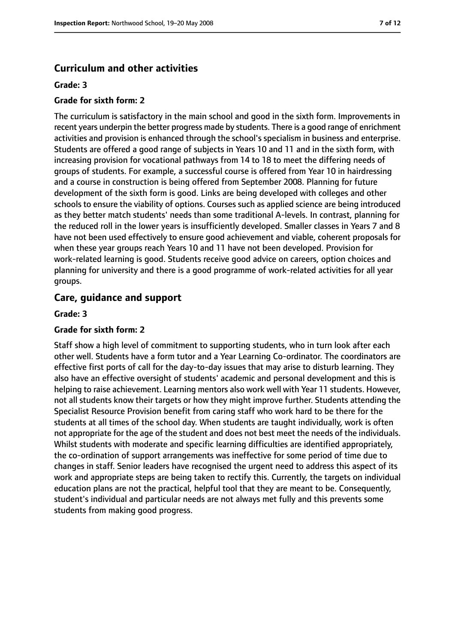#### **Curriculum and other activities**

#### **Grade: 3**

#### **Grade for sixth form: 2**

The curriculum is satisfactory in the main school and good in the sixth form. Improvements in recent years underpin the better progress made by students. There is a good range of enrichment activities and provision is enhanced through the school's specialism in business and enterprise. Students are offered a good range of subjects in Years 10 and 11 and in the sixth form, with increasing provision for vocational pathways from 14 to 18 to meet the differing needs of groups of students. For example, a successful course is offered from Year 10 in hairdressing and a course in construction is being offered from September 2008. Planning for future development of the sixth form is good. Links are being developed with colleges and other schools to ensure the viability of options. Courses such as applied science are being introduced as they better match students' needs than some traditional A-levels. In contrast, planning for the reduced roll in the lower years is insufficiently developed. Smaller classes in Years 7 and 8 have not been used effectively to ensure good achievement and viable, coherent proposals for when these year groups reach Years 10 and 11 have not been developed. Provision for work-related learning is good. Students receive good advice on careers, option choices and planning for university and there is a good programme of work-related activities for all year groups.

#### **Care, guidance and support**

#### **Grade: 3**

#### **Grade for sixth form: 2**

Staff show a high level of commitment to supporting students, who in turn look after each other well. Students have a form tutor and a Year Learning Co-ordinator. The coordinators are effective first ports of call for the day-to-day issues that may arise to disturb learning. They also have an effective oversight of students' academic and personal development and this is helping to raise achievement. Learning mentors also work well with Year 11 students. However, not all students know their targets or how they might improve further. Students attending the Specialist Resource Provision benefit from caring staff who work hard to be there for the students at all times of the school day. When students are taught individually, work is often not appropriate for the age of the student and does not best meet the needs of the individuals. Whilst students with moderate and specific learning difficulties are identified appropriately, the co-ordination of support arrangements was ineffective for some period of time due to changes in staff. Senior leaders have recognised the urgent need to address this aspect of its work and appropriate steps are being taken to rectify this. Currently, the targets on individual education plans are not the practical, helpful tool that they are meant to be. Consequently, student's individual and particular needs are not always met fully and this prevents some students from making good progress.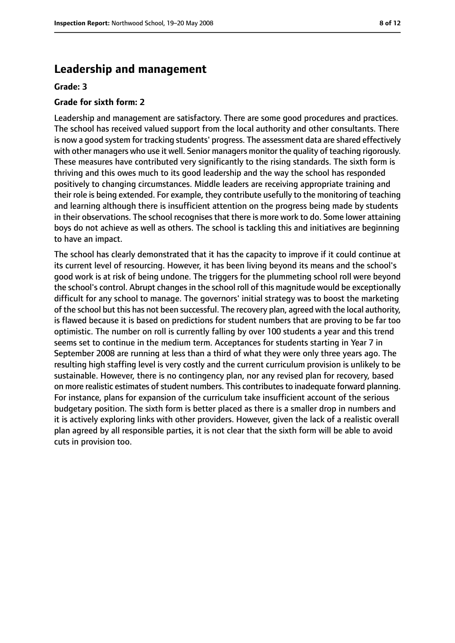### **Leadership and management**

#### **Grade: 3**

#### **Grade for sixth form: 2**

Leadership and management are satisfactory. There are some good procedures and practices. The school has received valued support from the local authority and other consultants. There is now a good system for tracking students' progress. The assessment data are shared effectively with other managers who use it well. Senior managers monitor the quality of teaching rigorously. These measures have contributed very significantly to the rising standards. The sixth form is thriving and this owes much to its good leadership and the way the school has responded positively to changing circumstances. Middle leaders are receiving appropriate training and their role is being extended. For example, they contribute usefully to the monitoring of teaching and learning although there is insufficient attention on the progress being made by students in their observations. The school recognises that there is more work to do. Some lower attaining boys do not achieve as well as others. The school is tackling this and initiatives are beginning to have an impact.

The school has clearly demonstrated that it has the capacity to improve if it could continue at its current level of resourcing. However, it has been living beyond its means and the school's good work is at risk of being undone. The triggers for the plummeting school roll were beyond the school's control. Abrupt changes in the school roll of this magnitude would be exceptionally difficult for any school to manage. The governors' initial strategy was to boost the marketing of the school but this has not been successful. The recovery plan, agreed with the local authority, is flawed because it is based on predictions for student numbers that are proving to be far too optimistic. The number on roll is currently falling by over 100 students a year and this trend seems set to continue in the medium term. Acceptances for students starting in Year 7 in September 2008 are running at less than a third of what they were only three years ago. The resulting high staffing level is very costly and the current curriculum provision is unlikely to be sustainable. However, there is no contingency plan, nor any revised plan for recovery, based on more realistic estimates of student numbers. This contributes to inadequate forward planning. For instance, plans for expansion of the curriculum take insufficient account of the serious budgetary position. The sixth form is better placed as there is a smaller drop in numbers and it is actively exploring links with other providers. However, given the lack of a realistic overall plan agreed by all responsible parties, it is not clear that the sixth form will be able to avoid cuts in provision too.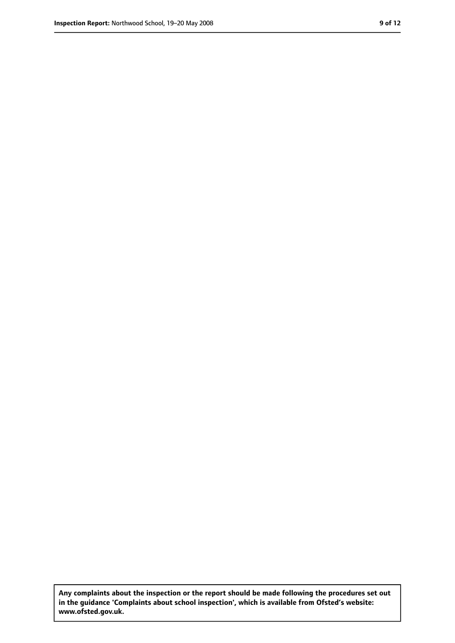**Any complaints about the inspection or the report should be made following the procedures set out in the guidance 'Complaints about school inspection', which is available from Ofsted's website: www.ofsted.gov.uk.**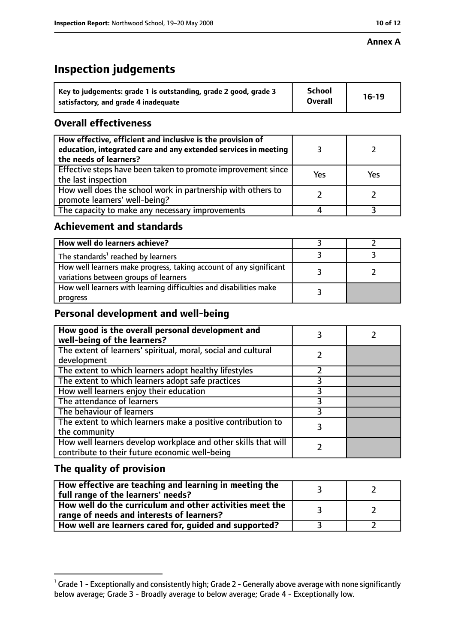#### **Annex A**

# **Inspection judgements**

| Key to judgements: grade 1 is outstanding, grade 2 good, grade 3 | <b>School</b>  | $16-19$ |
|------------------------------------------------------------------|----------------|---------|
| satisfactory, and grade 4 inadequate                             | <b>Overall</b> |         |

### **Overall effectiveness**

| How effective, efficient and inclusive is the provision of<br>education, integrated care and any extended services in meeting<br>the needs of learners? |     |     |
|---------------------------------------------------------------------------------------------------------------------------------------------------------|-----|-----|
| Effective steps have been taken to promote improvement since<br>the last inspection                                                                     | Yes | Yes |
| How well does the school work in partnership with others to<br>promote learners' well-being?                                                            |     |     |
| The capacity to make any necessary improvements                                                                                                         |     |     |

### **Achievement and standards**

| How well do learners achieve?                                                                               |  |
|-------------------------------------------------------------------------------------------------------------|--|
| The standards <sup>1</sup> reached by learners                                                              |  |
| How well learners make progress, taking account of any significant<br>variations between groups of learners |  |
| How well learners with learning difficulties and disabilities make<br>progress                              |  |

# **Personal development and well-being**

| How good is the overall personal development and<br>well-being of the learners?                                  |  |
|------------------------------------------------------------------------------------------------------------------|--|
| The extent of learners' spiritual, moral, social and cultural<br>development                                     |  |
| The extent to which learners adopt healthy lifestyles                                                            |  |
| The extent to which learners adopt safe practices                                                                |  |
| How well learners enjoy their education                                                                          |  |
| The attendance of learners                                                                                       |  |
| The behaviour of learners                                                                                        |  |
| The extent to which learners make a positive contribution to<br>the community                                    |  |
| How well learners develop workplace and other skills that will<br>contribute to their future economic well-being |  |

# **The quality of provision**

| How effective are teaching and learning in meeting the<br>full range of the learners' needs?          |  |
|-------------------------------------------------------------------------------------------------------|--|
| How well do the curriculum and other activities meet the<br>range of needs and interests of learners? |  |
| How well are learners cared for, guided and supported?                                                |  |

 $^1$  Grade 1 - Exceptionally and consistently high; Grade 2 - Generally above average with none significantly below average; Grade 3 - Broadly average to below average; Grade 4 - Exceptionally low.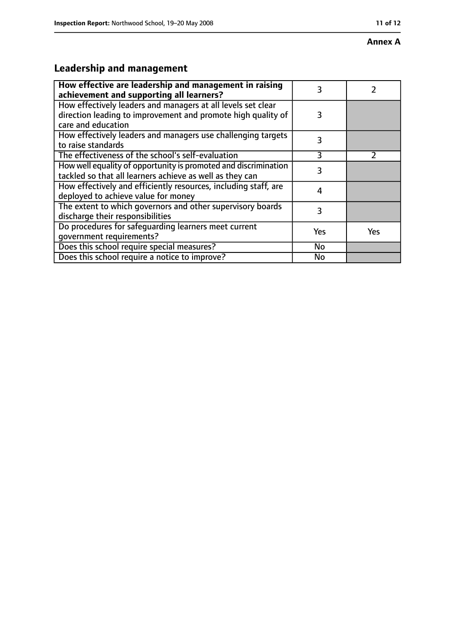#### **Annex A**

# **Leadership and management**

| How effective are leadership and management in raising<br>achievement and supporting all learners?                                                 | 3   |               |
|----------------------------------------------------------------------------------------------------------------------------------------------------|-----|---------------|
| How effectively leaders and managers at all levels set clear<br>direction leading to improvement and promote high quality of<br>care and education | 3   |               |
| How effectively leaders and managers use challenging targets<br>to raise standards                                                                 | 3   |               |
| The effectiveness of the school's self-evaluation                                                                                                  | 3   | $\mathcal{P}$ |
| How well equality of opportunity is promoted and discrimination<br>tackled so that all learners achieve as well as they can                        | 3   |               |
| How effectively and efficiently resources, including staff, are<br>deployed to achieve value for money                                             | 4   |               |
| The extent to which governors and other supervisory boards<br>discharge their responsibilities                                                     | 3   |               |
| Do procedures for safeguarding learners meet current<br>qovernment requirements?                                                                   | Yes | <b>Yes</b>    |
| Does this school require special measures?                                                                                                         | No  |               |
| Does this school require a notice to improve?                                                                                                      | No  |               |